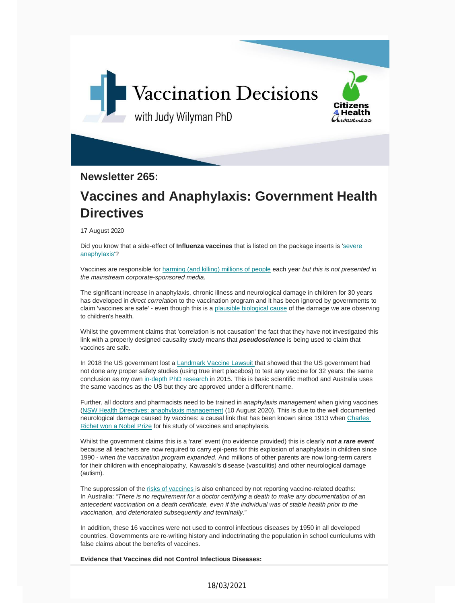

**Newsletter 265:**

## **Vaccines and Anaphylaxis: Government Health Directives**

17 August 2020

Did you know that a side-effect of **Influenza vaccines** that is listed on the package inserts is 'severe [anaphylaxis'?](https://vaccinationdecisions.us8.list-manage.com/track/click?u=f20605fde3732e41929f4a3f2&id=c3b34a3dcb&e=6b3f8c9022)

Vaccines are responsible for harming (and killing) [millions](https://vaccinationdecisions.us8.list-manage.com/track/click?u=f20605fde3732e41929f4a3f2&id=0e776b9b77&e=6b3f8c9022) of people each year *but this is not presented in the mainstream corporate-sponsored media.*

The significant increase in anaphylaxis, chronic illness and neurological damage in children for 30 years has developed in *direct correlation* to the vaccination program and it has been ignored by governments to claim 'vaccines are safe' - even though this is a plausible [biological](https://vaccinationdecisions.us8.list-manage.com/track/click?u=f20605fde3732e41929f4a3f2&id=c04f262c92&e=6b3f8c9022) cause of the damage we are observing to children's health.

Whilst the government claims that 'correlation is not causation' the fact that they have not investigated this link with a properly designed causality study means that *pseudoscience* is being used to claim that vaccines are safe.

In 2018 the US government lost a Landmark Vaccine Lawsuit that showed that the US government had not done any proper safety studies (using true inert [placebos\)](https://vaccinationdecisions.us8.list-manage.com/track/click?u=f20605fde3732e41929f4a3f2&id=f61fe3f906&e=6b3f8c9022) to test any vaccine for 32 years: the same conclusion as my own in-depth PhD research in 2015. This is basic scientific method and Australia uses the same vaccines as the US but they are [approve](https://vaccinationdecisions.us8.list-manage.com/track/click?u=f20605fde3732e41929f4a3f2&id=b3e85117f1&e=6b3f8c9022)d under a different name.

Further, all doctors and pharmacists need to be trained in *anaphylaxis management* when giving vaccines (NSW Health Directives: anaphylaxis management (10 August 2020). This is due to the well documented n[eurological](https://vaccinationdecisions.us8.list-manage.com/track/click?u=f20605fde3732e41929f4a3f2&id=407257f824&e=6b3f8c9022) damage caused by vaccines: a causal link that has been known since 1913 when Charles Richet won a Nobel Prize for his study of vaccines and anaphylaxis.

Whilst the [government](https://vaccinationdecisions.us8.list-manage.com/track/click?u=f20605fde3732e41929f4a3f2&id=f2e5474aba&e=6b3f8c9022) claims this is a 'rare' event (no evidence provided) this is clearly *not a rare event* because all teachers are now required to carry epi-pens for this explosion of anaphylaxis in children since 1990 - *when the vaccination program expanded*. And millions of other parents are now long-term carers for their children with encephalopathy, Kawasaki's disease (vasculitis) and other neurological damage (autism).

The suppression of the risks of vaccines is also enhanced by not reporting vaccine-related deaths: In Australia: "*There is no requirement for a doctor certifying a death to make any documentation of an antecedent vaccination on a death [certificate,](https://vaccinationdecisions.us8.list-manage.com/track/click?u=f20605fde3732e41929f4a3f2&id=593686fc61&e=6b3f8c9022) even if the individual was of stable health prior to the vaccination, and deteriorated subsequently and terminally.*"

In addition, these 16 vaccines were not used to control infectious diseases by 1950 in all developed countries. Governments are re-writing history and indoctrinating the population in school curriculums with false claims about the benefits of vaccines.

**Evidence that Vaccines did not Control Infectious Diseases:**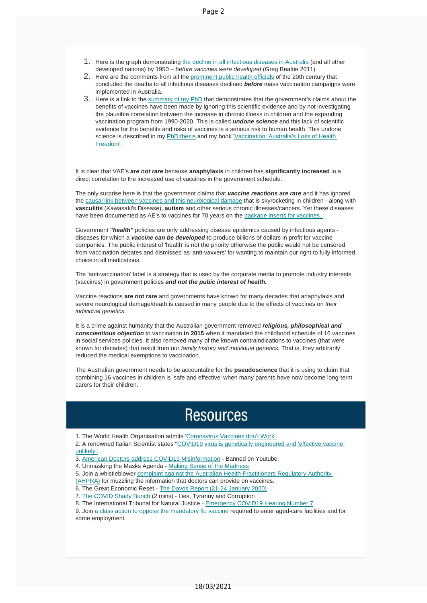- 1. Here is the graph demonstrating the decline in all [infectious](https://vaccinationdecisions.us8.list-manage.com/track/click?u=f20605fde3732e41929f4a3f2&id=0ded8f2a57&e=6b3f8c9022) diseases in Australia (and all other developed nations) by 1950 – *before vaccines were developed* (Greg Beattie 2011).
- 2. Here are the comments from all the prominent public health officials of the 20th century that concluded the deaths to all [infectious](https://vaccinationdecisions.us8.list-manage.com/track/click?u=f20605fde3732e41929f4a3f2&id=7c5585e73a&e=6b3f8c9022) diseases declined *before* mass vaccination campaigns were implemented in Australia.
- 3. Here is a link to the summary of my PhD that demonstrates that the government's claims about the benefits of vaccines have been made by ignoring this scientific evidence and by not investigating the plausible correlation between the increase in chronic illness in children and the expanding vaccination program from 199[0-2020.](https://vaccinationdecisions.us8.list-manage.com/track/click?u=f20605fde3732e41929f4a3f2&id=c7b8dc05dd&e=6b3f8c9022) This is called *undone science* and this lack of [scientific](https://vaccinationdecisions.us8.list-manage.com/track/click?u=f20605fde3732e41929f4a3f2&id=f244f2c68a&e=6b3f8c9022) e[vidence](https://vaccinationdecisions.us8.list-manage.com/track/click?u=f20605fde3732e41929f4a3f2&id=f244f2c68a&e=6b3f8c9022) for the benefits and risks of vaccines is a serious risk to human health. This undone science is described in my PhD thesis and my book 'Vaccination: Australia's Loss of Health Freedom'.

It is clear that VAE's *are not rare* because **anaphylaxis** in children has **significantly increased** in a direct correlation to the increased use of vaccines in the government schedule.

The only surprise here is that the [government](https://vaccinationdecisions.us8.list-manage.com/track/click?u=f20605fde3732e41929f4a3f2&id=e607267c34&e=6b3f8c9022) claims that *vaccine reactions are rare* and it has ignored the causal link between vaccines and this neurological damage that is skyrocketing in children - along with **vasculitis** (Kawasaki's Disease), **autism** and other serious chronic ill[nesses/cancers.](https://vaccinationdecisions.us8.list-manage.com/track/click?u=f20605fde3732e41929f4a3f2&id=3aeb8c02d6&e=6b3f8c9022) Yet these diseases have been documented as AE's to vaccines for 70 years on the package inserts for vaccines

Government *"health"* policies are only addressing disease epidemics caused by infectious agents diseases for which a *vaccine can be developed* to produce billions of dollars in profit for vaccine companies. The public interest of 'health' is not the priority otherwise the public would not be censored from vaccination debates and dismissed as 'anti-vaxxers' for wanting to maintain our right to fully informed choice in all medications.

The 'anti-vaccination' label is a strategy that is used by the corporate media to promote industry interests (vaccines) in government policies *and not the pubic interest of health.*

Vaccine reactions **are not rare** and governments have known for many decades that anaphylaxis and severe neurological damage/death is caused in many people due to the effects of vaccines on *their individual genetics.*

It is a crime against humanity that the Australian government removed *religious, philosophical and conscientious objection* to vaccination **in 2015** when it mandated the childhood schedule of 16 vaccines in social services policies. It also removed many of the known contraindications to vaccines (that were known for decades) that result from our *family history and individual genetics.* That is, they arbitrarily reduced the medical exemptions to vaccination.

The Australian government needs to be accountable for the **pseudoscience** that it is using to claim that combining 16 vaccines in children is 'safe and effective' when many parents have now become long-term carers for their children.

## **Resources**

1. The World Health Organisation admits 'Coronavirus Vaccines don't Work'.

2. A renowned Italian Scientist states "COVID19 virus is genetically [engineered](https://vaccinationdecisions.us8.list-manage.com/track/click?u=f20605fde3732e41929f4a3f2&id=d52a5e3e03&e=6b3f8c9022) and 'effective vaccine unlikely'.

- 3. American Doctors address COVID19 Mi[sinformation](https://vaccinationdecisions.us8.list-manage.com/track/click?u=f20605fde3732e41929f4a3f2&id=ef372362a5&e=6b3f8c9022) Banned on Youtube.
- 4. [Unmask](https://vaccinationdecisions.us8.list-manage.com/track/click?u=f20605fde3732e41929f4a3f2&id=ef372362a5&e=6b3f8c9022)ing the Masks Agenda Making Sense of the Madness
- 5. Join a [whistleblower](https://vaccinationdecisions.us8.list-manage.com/track/click?u=f20605fde3732e41929f4a3f2&id=31b899119b&e=6b3f8c9022) complaint against the Australian Health Practitioners Regulatory Authority
- (AHPRA) for muzzling the information that [doctors](https://vaccinationdecisions.us8.list-manage.com/track/click?u=f20605fde3732e41929f4a3f2&id=3bcbc0df8d&e=6b3f8c9022) can provide on vaccines.
- 6. The Great Economic Reset The Davos Report (21-24 [January](https://vaccinationdecisions.us8.list-manage.com/track/click?u=f20605fde3732e41929f4a3f2&id=253d11155c&e=6b3f8c9022) 2020)
- 7. The [COV](https://vaccinationdecisions.us8.list-manage.com/track/click?u=f20605fde3732e41929f4a3f2&id=253d11155c&e=6b3f8c9022)ID Shady Bunch (2 mins) Lies, Tyranny and Corruption
- 8. The International Tribunal for Natural Justice [Emergency](https://vaccinationdecisions.us8.list-manage.com/track/click?u=f20605fde3732e41929f4a3f2&id=a7e59c3e78&e=6b3f8c9022) COVID19 Hearing Number 7

9. Join a class action to [oppose](https://vaccinationdecisions.us8.list-manage.com/track/click?u=f20605fde3732e41929f4a3f2&id=940fb31585&e=6b3f8c9022) the mandatory flu vaccine required to enter aged-care facilities and for some employment.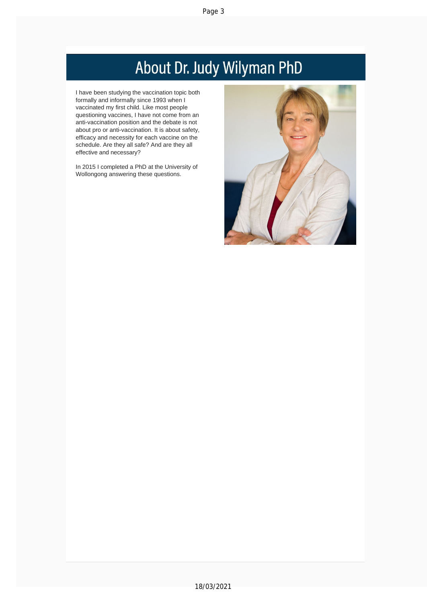## About Dr. Judy Wilyman PhD

I have been studying the vaccination topic both formally and informally since 1993 when I vaccinated my first child. Like most people questioning vaccines, I have not come from an anti-vaccination position and the debate is not about pro or anti-vaccination. It is about safety, efficacy and necessity for each [vaccine](https://vaccinationdecisions.us8.list-manage.com/track/click?u=f20605fde3732e41929f4a3f2&id=3615a29820&e=6b3f8c9022) on the schedule. Are they all safe? And are they all effective and necessary?

In 2015 I completed a PhD at the University of Wollongong answering these questions.

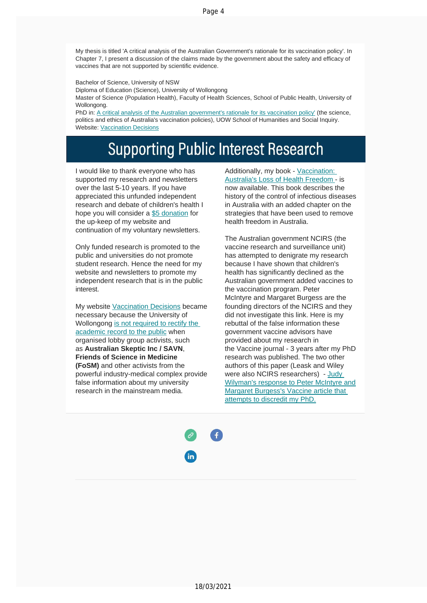Page 4

My thesis is titled 'A critical analysis of the Australian Government's rationale for its vaccination policy'. In Chapter 7, I present a discussion of the claims made by the government about the safety and efficacy of vaccines that are not supported by scientific evidence.

Bachelor of Science, University of NSW

Diploma of Education (Science), University of Wollongong

Master of Science [\(Population](https://vaccinationdecisions.us8.list-manage.com/track/click?u=f20605fde3732e41929f4a3f2&id=69588e1266&e=6b3f8c9022) Health), Faculty of Health Sciences, School of Public Health, University of Wollongong.

PhD in: A critical analysis of the Australian government's rationale for its vaccination policy' (the science, politics and ethics of [Australia's](https://vaccinationdecisions.us8.list-manage.com/track/click?u=f20605fde3732e41929f4a3f2&id=903ad94cf9&e=6b3f8c9022) vaccination policies), UOW School of Humanities and Social Inquiry. Website: Vaccination Decisions

## **Supporting Public Interest Research**

I would like to thank everyone who has supported my research and newsletters over the last 5-10 years. If you have appreciated this unfunded independent research and debate of children's health I hope you will consider a \$5 [donation](https://vaccinationdecisions.us8.list-manage.com/track/click?u=f20605fde3732e41929f4a3f2&id=1c37ac3b7f&e=6b3f8c9022) for the up-keep of my website and continuation of my voluntary newsletters.

Only funded research is promoted to the public and universities do not promote student research. Hence the need for my website and newsletters to promote my independent research that is in the public interest.

My website Vaccination [Decisions](https://vaccinationdecisions.us8.list-manage.com/track/click?u=f20605fde3732e41929f4a3f2&id=b67d45c019&e=6b3f8c9022) became necessary because the University of Wollongong is not [required](https://vaccinationdecisions.us8.list-manage.com/track/click?u=f20605fde3732e41929f4a3f2&id=7d32a23fa8&e=6b3f8c9022) to rectify the academic record to the public when [organised](https://vaccinationdecisions.us8.list-manage.com/track/click?u=f20605fde3732e41929f4a3f2&id=7d32a23fa8&e=6b3f8c9022) lobby group activists, such as **Australian Skeptic Inc / SAVN**, **Friends of Science in Medicine (FoSM)** and other activists from the powerful industry-medical complex provide false information about my university research in the mainstream media.

Additionally, my book - [Vaccination:](https://vaccinationdecisions.us8.list-manage.com/track/click?u=f20605fde3732e41929f4a3f2&id=2b8f79205a&e=6b3f8c9022) Australia's Loss of Health Freedom - is now available. This book describes the history of the control of infectious diseases in Australia with an added chapter on the strategies that have been used to remove health freedom in Australia.

The Australian government NCIRS (the vaccine research and surveillance unit) has attempted to denigrate my research because I have shown that children's health has significantly declined as the Australian government added vaccines to the vaccination program. Peter McIntyre and Margaret Burgess are the founding directors of the NCIRS and they did not investigate this link. Here is my rebuttal of the false information these government vaccine advisors have provided about my research in the Vaccine journal - 3 years after my PhD research was published. The two other authors of this paper (Leask and Wiley were also NCIRS researchers) - Judy Wilyman's response to Peter McIntyre a[nd](https://vaccinationdecisions.us8.list-manage.com/track/click?u=f20605fde3732e41929f4a3f2&id=d31ffe2d7d&e=6b3f8c9022) Margaret [Burgess's](https://vaccinationdecisions.us8.list-manage.com/track/click?u=f20605fde3732e41929f4a3f2&id=d31ffe2d7d&e=6b3f8c9022) Vaccine article that attempts to [discredit](https://vaccinationdecisions.us8.list-manage.com/track/click?u=f20605fde3732e41929f4a3f2&id=d31ffe2d7d&e=6b3f8c9022) my PhD.